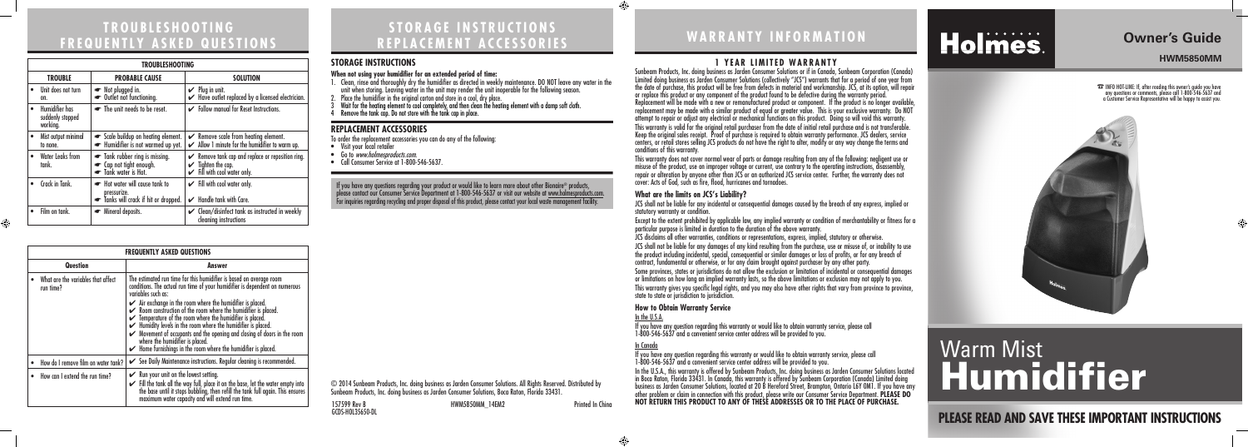157599 Rev B HWM5850MM\_14EM2 Printed In China GCDS-HOL35650-DL



 $\bigoplus$ 

# **WARRANTY INFORMATION**

#### **1 YEAR LIMITED WARRANTY**

Sunbeam Products, Inc. doing business as Jarden Consumer Solutions or if in Canada, Sunbeam Corporation (Canada) Limited doing business as Jarden Consumer Solutions (collectively "JCS") warrants that for a period of one year from the date of purchase, this product will be free from defects in material and workmanship. JCS, at its option, will repair or replace this product or any component of the product found to be defective during the warranty period.

Replacement will be made with a new or remanufactured product or component. If the product is no longer available, replacement may be made with a similar product of equal or greater value. This is your exclusive warranty. Do NOT attempt to repair or adjust any electrical or mechanical functions on this product. Doing so will void this warranty.

This warranty is valid for the original retail purchaser from the date of initial retail purchase and is not transferable. Keep the original sales receipt. Proof of purchase is required to obtain warranty performance. JCS dealers, service centers, or retail stores selling JCS products do not have the right to alter, modify or any way change the terms and

conditions of this warranty.

This warranty does not cover normal wear of parts or damage resulting from any of the following: negligent use or misuse of the product, use on improper voltage or current, use contrary to the operating instructions, disassembly, repair or alteration by anyone other than JCS or an authorized JCS service center. Further, the warranty does not cover: Acts of God, such as fire, flood, hurricanes and tornadoes.

## **What are the limits on JCS's Liability?**

statutory warranty or condition.

JCS shall not be liable for any incidental or consequential damages caused by the breach of any express, implied or

Except to the extent prohibited by applicable law, any implied warranty or condition of merchantability or fitness for a particular purpose is limited in duration to the duration of the above warranty.

JCS disclaims all other warranties, conditions or representations, express, implied, statutory or otherwise.

JCS shall not be liable for any damages of any kind resulting from the purchase, use or misuse of, or inability to use the product including incidental, special, consequential or similar damages or loss of profits, or for any breach of contract, fundamental or otherwise, or for any claim brought against purchaser by any other party.

# Holmes.

Some provinces, states or jurisdictions do not allow the exclusion or limitation of incidental or consequential damages or limitations on how long an implied warranty lasts, so the above limitations or exclusion may not apply to you. This warranty gives you specific legal rights, and you may also have other rights that vary from province to province, state to state or jurisdiction to jurisdiction.

#### **How to Obtain Warranty Service** In the U.S.A.

If you have any question regarding this warranty or would like to obtain warranty service, please call 1-800-546-5637 and a convenient service center address will be provided to you.

#### In Canada

If you have any questions regarding your product or would like to learn more about other Bionaire® products, please contact our Consumer Service Department at 1-800-546-5637 or visit our website at <u>www.holmesproducts.com</u>.<br>For inquiries regarding recycling and proper disposal of this product, please contact your local waste mana

> If you have any question regarding this warranty or would like to obtain warranty service, please call 1-800-546-5637 and a convenient service center address will be provided to you. In the U.S.A., this warranty is offered by Sunbeam Products, Inc. doing business as Jarden Consumer Solutions located in Boca Raton, Florida 33431. In Canada, this warranty is offered by Sunbeam Corporation (Canada) Limited doing business as Jarden Consumer Solutions, located at 20 B Hereford Street, Brampton, Ontario L6Y 0M1. If you have any other problem or claim in connection with this product, please write our Consumer Service Department. **PLEASE DO NOT RETURN THIS PRODUCT TO ANY OF THESE ADDRESSES OR TO THE PLACE OF PURCHASE.**

**<sup>23</sup> INFO HOT-LINE: If, after reading this owner's guide you have** any questions or comments, please call 1-800-546-5637 and a Customer Service Representative will be happy to assist you.

# Warm Mist **Humidifier**



# **TROUBLESHOOTING FREQUENTLY ASKED QUESTIONS**

| <b>FREQUENTLY ASKED QUESTIONS</b>               |                                                                                                                                                                                                                                                                                                                                                                                                                                                                                                                                                                                                                                                                               |  |
|-------------------------------------------------|-------------------------------------------------------------------------------------------------------------------------------------------------------------------------------------------------------------------------------------------------------------------------------------------------------------------------------------------------------------------------------------------------------------------------------------------------------------------------------------------------------------------------------------------------------------------------------------------------------------------------------------------------------------------------------|--|
| Question                                        | Answer                                                                                                                                                                                                                                                                                                                                                                                                                                                                                                                                                                                                                                                                        |  |
| What are the variables that affect<br>run time? | The estimated run time for this humidifier is based on average room<br>conditions. The actual run time of your humidifier is dependent on numerous<br>variables such as:<br>$\checkmark$ Air exchange in the room where the humidifier is placed.<br>$\checkmark$ Room construction of the room where the humidifier is placed.<br>$\checkmark$ Temperature of the room where the humidifier is placed.<br>► Humidity levels in the room where the humidifier is placed.<br>► Movement of occupants and the opening and closing of doors in the room<br>where the humidifier is placed.<br>$\blacktriangleright$ Home furnishings in the room where the humidifier is placed. |  |
| How do I remove film on water tank?             | See Daily Maintenance instructions. Regular cleaning is recommended.                                                                                                                                                                                                                                                                                                                                                                                                                                                                                                                                                                                                          |  |
| How can I extend the run time?                  | $\swarrow$ Run your unit on the lowest setting.<br>$\checkmark$ Fill the tank all the way full, place it on the base, let the water empty into the base until it stops bubbling, then refill the tank full again. This ensures maximum water capacity and will extend run time.                                                                                                                                                                                                                                                                                                                                                                                               |  |

| <b>TROUBLESHOOTING</b> |                                                |                                                                                    |                                                                                                                                        |
|------------------------|------------------------------------------------|------------------------------------------------------------------------------------|----------------------------------------------------------------------------------------------------------------------------------------|
|                        | <b>TROUBLE</b>                                 | <b>PROBABLE CAUSE</b>                                                              | <b>SOLUTION</b>                                                                                                                        |
|                        | Unit does not turn<br>on.                      | Not plugged in.<br>• Outlet not functioning.                                       | $\vee$ Plug in unit.<br>$\checkmark$ Have outlet replaced by a licensed electrician.                                                   |
|                        | Humidifier has<br>suddenly stopped<br>working. | The unit needs to be reset.                                                        | Follow manual for Reset Instructions.                                                                                                  |
|                        | Mist output minimal<br>to none.                | Scale buildup on heating element.<br>Humidifier is not warmed up yet.              | $\swarrow$ Remove scale from heating element.<br>$\swarrow$ Allow 1 minute for the humidifier to warm up.                              |
|                        | Water Leaks from<br>tank.                      | Tank rubber ring is missing.<br>• Cap not tight enough.<br>Tank water is Hot.      | $\swarrow$ Remove tank cap and replace or reposition ring.<br>$\checkmark$ Tighten the cap.<br>$\checkmark$ Fill with cool water only. |
|                        | Crack in Tank.                                 | Hot water will cause tank to<br>pressurize.<br>Tanks will crack if hit or dropped. | $\checkmark$ Fill with cool water only.<br>$\mathcal V$ Handle tank with Care.                                                         |
|                        | Film on tank.                                  | • Mineral deposits.                                                                | $\mathcal V$ Clean/disinfect tank as instructed in weekly<br>cleaning instructions                                                     |

 $\bigoplus$ 

# **STORAGE INSTRUCTIONS REPLACEMENT ACCESSORIES**

#### **STORAGE INSTRUCTIONS**

#### **When not using your humidifier for an extended period of time:**

- 1. Clean, rinse and thoroughly dry the humidifier as directed in weekly maintenance. DO NOT leave any water in the unit when storing. Leaving water in the unit may render the unit inoperable for the following season.
- 2. Place the humidifier in the original carton and store in a cool, dry place.
- 3 Wait for the heating element to cool completely, and then clean the heating element with a damp soft cloth.
- 4 Remove the tank cap. Do not store with the tank cap in place.

#### **REPLACEMENT ACCESSORIES**

To order the replacement accessories you can do any of the following:

- Visit your local retailer
- Go to www.holmesproducts.com.
- Call Consumer Service at 1-800-546-5637.



**PLEASE READ AND SAVE THESE IMPORTANT INSTRUCTIONS**

# **Owner's Guide**

**HWM5850MM**